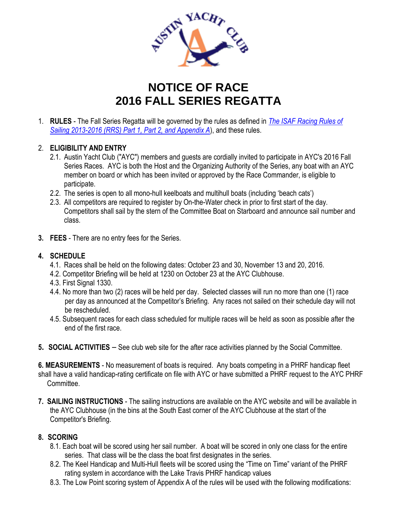

## **NOTICE OF RACE 2016 FALL SERIES REGATTA**

1. **RULES** - The Fall Series Regatta will be governed by the rules as defined in *The ISAF Racing Rules of Sailing 2013-2016 (RRS) Part 1, Part 2, and Appendix A*), and these rules.

## 2. **ELIGIBILITY AND ENTRY**

- 2.1. Austin Yacht Club ("AYC") members and guests are cordially invited to participate in AYC's 2016 Fall Series Races. AYC is both the Host and the Organizing Authority of the Series, any boat with an AYC member on board or which has been invited or approved by the Race Commander, is eligible to participate.
- 2.2. The series is open to all mono-hull keelboats and multihull boats (including 'beach cats')
- 2.3. All competitors are required to register by On-the-Water check in prior to first start of the day. Competitors shall sail by the stern of the Committee Boat on Starboard and announce sail number and class.
- **3. FEES** There are no entry fees for the Series.

## **4. SCHEDULE**

- 4.1. Races shall be held on the following dates: October 23 and 30, November 13 and 20, 2016.
- 4.2. Competitor Briefing will be held at 1230 on October 23 at the AYC Clubhouse.
- 4.3. First Signal 1330.
- 4.4. No more than two (2) races will be held per day. Selected classes will run no more than one (1) race per day as announced at the Competitor's Briefing. Any races not sailed on their schedule day will not be rescheduled.
- 4.5. Subsequent races for each class scheduled for multiple races will be held as soon as possible after the end of the first race.
- **5. SOCIAL ACTIVITIES** See club web site for the after race activities planned by the Social Committee.

**6. MEASUREMENTS** - No measurement of boats is required. Any boats competing in a PHRF handicap fleet shall have a valid handicap-rating certificate on file with AYC or have submitted a PHRF request to the AYC PHRF Committee.

**7. SAILING INSTRUCTIONS** - The sailing instructions are available on the AYC website and will be available in the AYC Clubhouse (in the bins at the South East corner of the AYC Clubhouse at the start of the Competitor's Briefing.

## **8. SCORING**

- 8.1. Each boat will be scored using her sail number. A boat will be scored in only one class for the entire series. That class will be the class the boat first designates in the series.
- 8.2. The Keel Handicap and Multi-Hull fleets will be scored using the "Time on Time" variant of the PHRF rating system in accordance with the Lake Travis PHRF handicap values
- 8.3. The Low Point scoring system of Appendix A of the rules will be used with the following modifications: